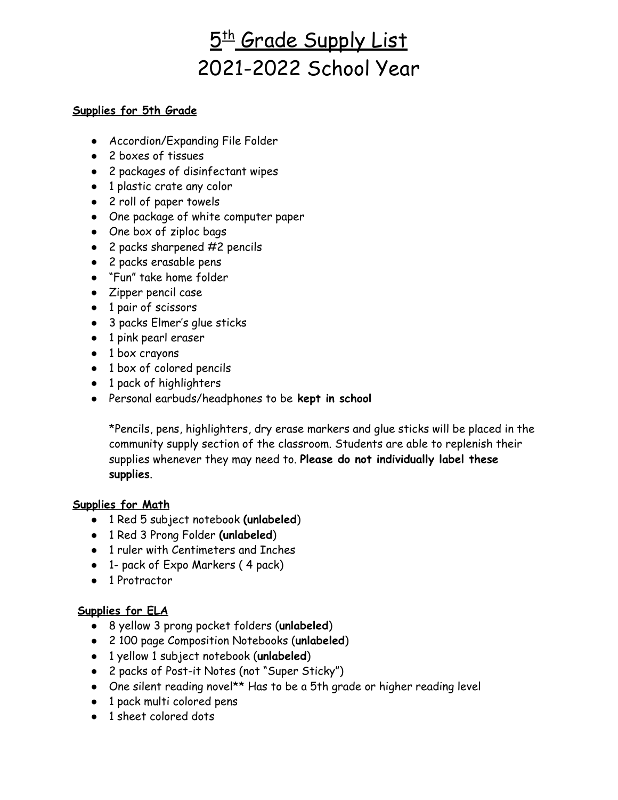# <u>5th Grade Supply List</u> 2021-2022 School Year

#### **Supplies for 5th Grade**

- Accordion/Expanding File Folder
- 2 boxes of tissues
- 2 packages of disinfectant wipes
- 1 plastic crate any color
- 2 roll of paper towels
- One package of white computer paper
- One box of ziploc bags
- $\bullet$  2 packs sharpened #2 pencils
- 2 packs erasable pens
- "Fun" take home folder
- Zipper pencil case
- 1 pair of scissors
- 3 packs Elmer's glue sticks
- 1 pink pearl eraser
- 1 box crayons
- 1 box of colored pencils
- 1 pack of highlighters
- Personal earbuds/headphones to be **kept in school**

\*Pencils, pens, highlighters, dry erase markers and glue sticks will be placed in the community supply section of the classroom. Students are able to replenish their supplies whenever they may need to. **Please do not individually label these supplies**.

#### **Supplies for Math**

- 1 Red 5 subject notebook **(unlabeled**)
- 1 Red 3 Prong Folder **(unlabeled**)
- 1 ruler with Centimeters and Inches
- 1- pack of Expo Markers ( 4 pack)
- 1 Protractor

## **Supplies for ELA**

- 8 yellow 3 prong pocket folders (**unlabeled**)
- 2 100 page Composition Notebooks (**unlabeled**)
- 1 yellow 1 subject notebook (**unlabeled**)
- 2 packs of Post-it Notes (not "Super Sticky")
- One silent reading novel\*\* Has to be a 5th grade or higher reading level
- 1 pack multi colored pens
- 1 sheet colored dots